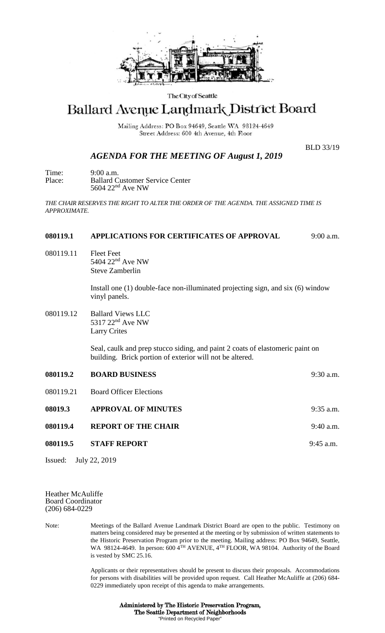

### The City of Seattle

# Ballard Avenue Landmark District Board

Mailing Address: PO Box 94649, Seattle WA 98124-4649 Street Address: 600 4th Avenue, 4th Floor

*AGENDA FOR THE MEETING OF August 1, 2019*

BLD 33/19

Time: 9:00 a.m.<br>Place: Ballard C Ballard Customer Service Center 5604 22nd Ave NW

*THE CHAIR RESERVES THE RIGHT TO ALTER THE ORDER OF THE AGENDA. THE ASSIGNED TIME IS APPROXIMATE.*

## **080119.1 APPLICATIONS FOR CERTIFICATES OF APPROVAL** 9:00 a.m.

080119.11 Fleet Feet 5404 22nd Ave NW Steve Zamberlin

> Install one (1) double-face non-illuminated projecting sign, and six (6) window vinyl panels.

080119.12 Ballard Views LLC 5317 22nd Ave NW Larry Crites

> Seal, caulk and prep stucco siding, and paint 2 coats of elastomeric paint on building. Brick portion of exterior will not be altered.

**080119.2 BOARD BUSINESS** 9:30 a.m. 080119.21 Board Officer Elections **08019.3 APPROVAL OF MINUTES** 9:35 a.m. **080119.4 REPORT OF THE CHAIR** 9:40 a.m. **080119.5 STAFF REPORT** 9:45 a.m.

Issued: July 22, 2019

#### Heather McAuliffe Board Coordinator (206) 684-0229

Note: Meetings of the Ballard Avenue Landmark District Board are open to the public. Testimony on matters being considered may be presented at the meeting or by submission of written statements to the Historic Preservation Program prior to the meeting. Mailing address: PO Box 94649, Seattle, WA 98124-4649. In person: 600 4<sup>TH</sup> AVENUE, 4<sup>TH</sup> FLOOR, WA 98104. Authority of the Board is vested by SMC 25.16.

> Applicants or their representatives should be present to discuss their proposals. Accommodations for persons with disabilities will be provided upon request. Call Heather McAuliffe at (206) 684- 0229 immediately upon receipt of this agenda to make arrangements.